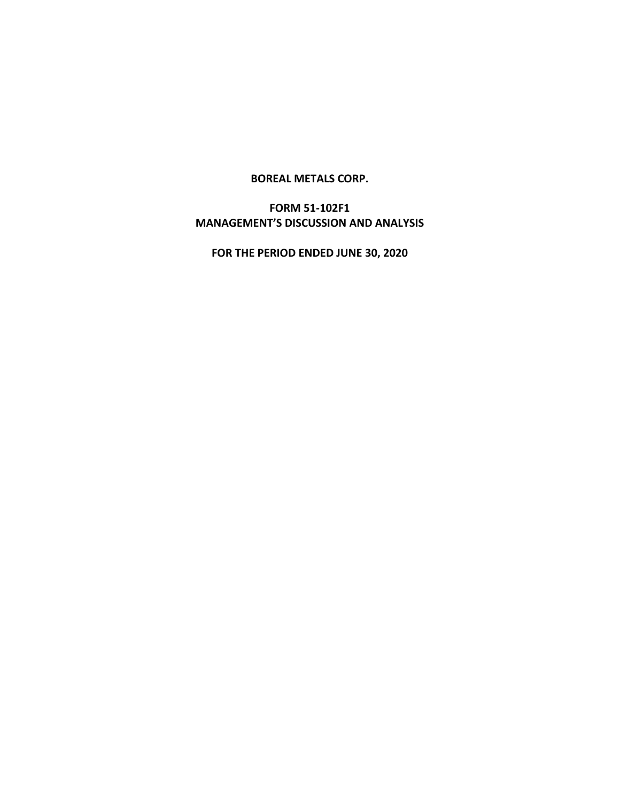#### **BOREAL METALS CORP.**

# **FORM 51-102F1 MANAGEMENT'S DISCUSSION AND ANALYSIS**

**FOR THE PERIOD ENDED JUNE 30, 2020**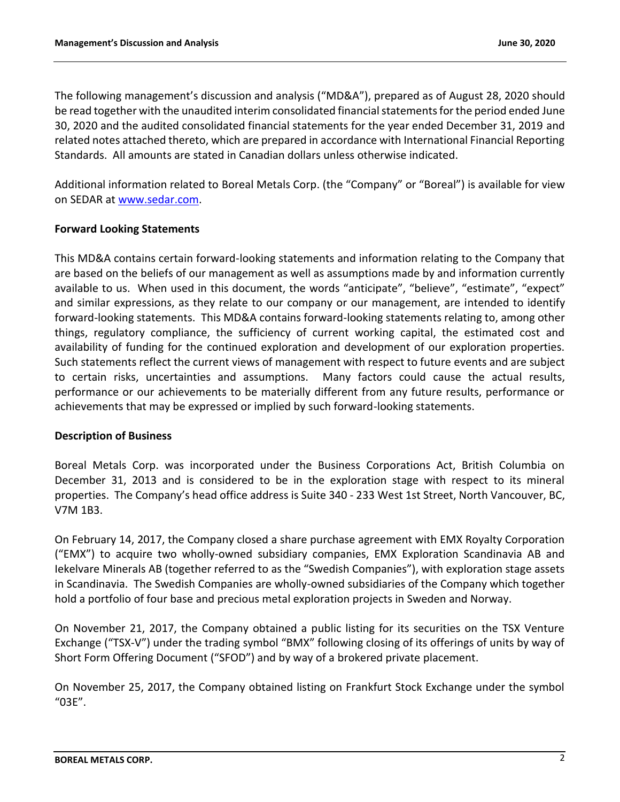The following management's discussion and analysis ("MD&A"), prepared as of August 28, 2020 should be read together with the unaudited interim consolidated financial statements for the period ended June 30, 2020 and the audited consolidated financial statements for the year ended December 31, 2019 and related notes attached thereto, which are prepared in accordance with International Financial Reporting Standards. All amounts are stated in Canadian dollars unless otherwise indicated.

Additional information related to Boreal Metals Corp. (the "Company" or "Boreal") is available for view on SEDAR a[t www.sedar.com.](http://www.sedar.com/)

# **Forward Looking Statements**

This MD&A contains certain forward-looking statements and information relating to the Company that are based on the beliefs of our management as well as assumptions made by and information currently available to us. When used in this document, the words "anticipate", "believe", "estimate", "expect" and similar expressions, as they relate to our company or our management, are intended to identify forward-looking statements. This MD&A contains forward-looking statements relating to, among other things, regulatory compliance, the sufficiency of current working capital, the estimated cost and availability of funding for the continued exploration and development of our exploration properties. Such statements reflect the current views of management with respect to future events and are subject to certain risks, uncertainties and assumptions. Many factors could cause the actual results, performance or our achievements to be materially different from any future results, performance or achievements that may be expressed or implied by such forward-looking statements.

# **Description of Business**

Boreal Metals Corp. was incorporated under the Business Corporations Act, British Columbia on December 31, 2013 and is considered to be in the exploration stage with respect to its mineral properties. The Company's head office address is Suite 340 - 233 West 1st Street, North Vancouver, BC, V7M 1B3.

On February 14, 2017, the Company closed a share purchase agreement with EMX Royalty Corporation ("EMX") to acquire two wholly-owned subsidiary companies, EMX Exploration Scandinavia AB and Iekelvare Minerals AB (together referred to as the "Swedish Companies"), with exploration stage assets in Scandinavia. The Swedish Companies are wholly-owned subsidiaries of the Company which together hold a portfolio of four base and precious metal exploration projects in Sweden and Norway.

On November 21, 2017, the Company obtained a public listing for its securities on the TSX Venture Exchange ("TSX-V") under the trading symbol "BMX" following closing of its offerings of units by way of Short Form Offering Document ("SFOD") and by way of a brokered private placement.

On November 25, 2017, the Company obtained listing on Frankfurt Stock Exchange under the symbol "03E".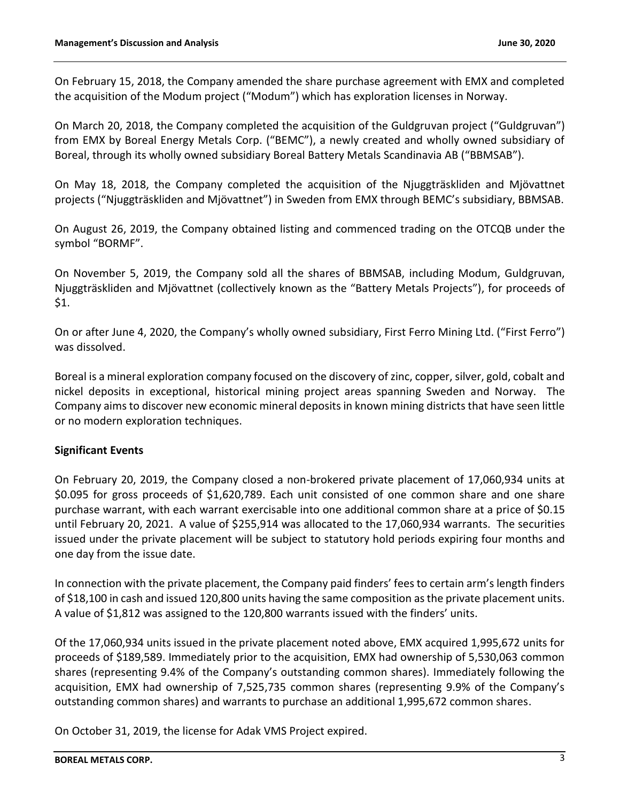On February 15, 2018, the Company amended the share purchase agreement with EMX and completed the acquisition of the Modum project ("Modum") which has exploration licenses in Norway.

On March 20, 2018, the Company completed the acquisition of the Guldgruvan project ("Guldgruvan") from EMX by Boreal Energy Metals Corp. ("BEMC"), a newly created and wholly owned subsidiary of Boreal, through its wholly owned subsidiary Boreal Battery Metals Scandinavia AB ("BBMSAB").

On May 18, 2018, the Company completed the acquisition of the Njuggträskliden and Mjövattnet projects ("Njuggträskliden and Mjövattnet") in Sweden from EMX through BEMC's subsidiary, BBMSAB.

On August 26, 2019, the Company obtained listing and commenced trading on the OTCQB under the symbol "BORMF".

On November 5, 2019, the Company sold all the shares of BBMSAB, including Modum, Guldgruvan, Njuggträskliden and Mjövattnet (collectively known as the "Battery Metals Projects"), for proceeds of \$1.

On or after June 4, 2020, the Company's wholly owned subsidiary, First Ferro Mining Ltd. ("First Ferro") was dissolved.

Boreal is a mineral exploration company focused on the discovery of zinc, copper, silver, gold, cobalt and nickel deposits in exceptional, historical mining project areas spanning Sweden and Norway. The Company aims to discover new economic mineral deposits in known mining districts that have seen little or no modern exploration techniques.

# **Significant Events**

On February 20, 2019, the Company closed a non-brokered private placement of 17,060,934 units at \$0.095 for gross proceeds of \$1,620,789. Each unit consisted of one common share and one share purchase warrant, with each warrant exercisable into one additional common share at a price of \$0.15 until February 20, 2021. A value of \$255,914 was allocated to the 17,060,934 warrants. The securities issued under the private placement will be subject to statutory hold periods expiring four months and one day from the issue date.

In connection with the private placement, the Company paid finders' fees to certain arm's length finders of \$18,100 in cash and issued 120,800 units having the same composition as the private placement units. A value of \$1,812 was assigned to the 120,800 warrants issued with the finders' units.

Of the 17,060,934 units issued in the private placement noted above, EMX acquired 1,995,672 units for proceeds of \$189,589. Immediately prior to the acquisition, EMX had ownership of 5,530,063 common shares (representing 9.4% of the Company's outstanding common shares). Immediately following the acquisition, EMX had ownership of 7,525,735 common shares (representing 9.9% of the Company's outstanding common shares) and warrants to purchase an additional 1,995,672 common shares.

On October 31, 2019, the license for Adak VMS Project expired.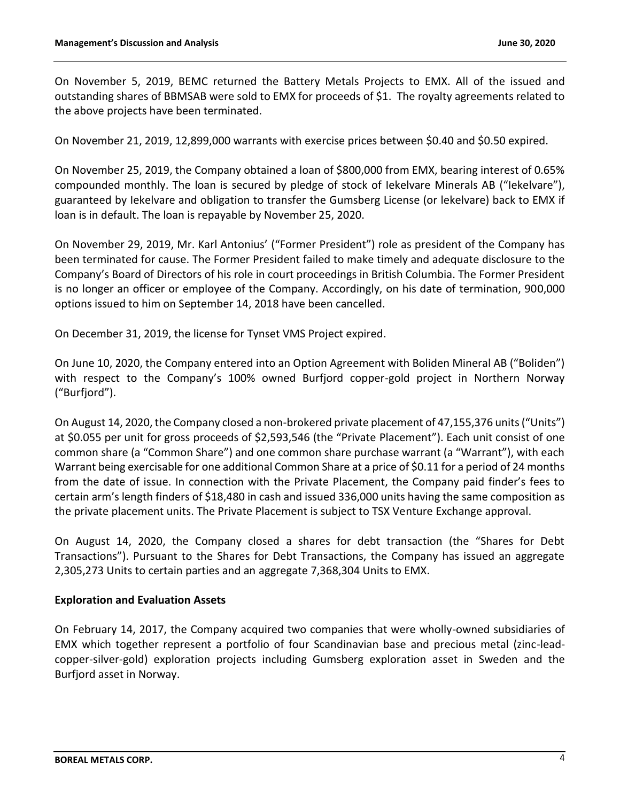On November 5, 2019, BEMC returned the Battery Metals Projects to EMX. All of the issued and outstanding shares of BBMSAB were sold to EMX for proceeds of \$1. The royalty agreements related to the above projects have been terminated.

On November 21, 2019, 12,899,000 warrants with exercise prices between \$0.40 and \$0.50 expired.

On November 25, 2019, the Company obtained a loan of \$800,000 from EMX, bearing interest of 0.65% compounded monthly. The loan is secured by pledge of stock of Iekelvare Minerals AB ("Iekelvare"), guaranteed by Iekelvare and obligation to transfer the Gumsberg License (or lekelvare) back to EMX if loan is in default. The loan is repayable by November 25, 2020.

On November 29, 2019, Mr. Karl Antonius' ("Former President") role as president of the Company has been terminated for cause. The Former President failed to make timely and adequate disclosure to the Company's Board of Directors of his role in court proceedings in British Columbia. The Former President is no longer an officer or employee of the Company. Accordingly, on his date of termination, 900,000 options issued to him on September 14, 2018 have been cancelled.

On December 31, 2019, the license for Tynset VMS Project expired.

On June 10, 2020, the Company entered into an Option Agreement with Boliden Mineral AB ("Boliden") with respect to the Company's 100% owned Burfjord copper-gold project in Northern Norway ("Burfjord").

On August 14, 2020, the Company closed a non-brokered private placement of 47,155,376 units ("Units") at \$0.055 per unit for gross proceeds of \$2,593,546 (the "Private Placement"). Each unit consist of one common share (a "Common Share") and one common share purchase warrant (a "Warrant"), with each Warrant being exercisable for one additional Common Share at a price of \$0.11 for a period of 24 months from the date of issue. In connection with the Private Placement, the Company paid finder's fees to certain arm's length finders of \$18,480 in cash and issued 336,000 units having the same composition as the private placement units. The Private Placement is subject to TSX Venture Exchange approval.

On August 14, 2020, the Company closed a shares for debt transaction (the "Shares for Debt Transactions"). Pursuant to the Shares for Debt Transactions, the Company has issued an aggregate 2,305,273 Units to certain parties and an aggregate 7,368,304 Units to EMX.

#### **Exploration and Evaluation Assets**

On February 14, 2017, the Company acquired two companies that were wholly-owned subsidiaries of EMX which together represent a portfolio of four Scandinavian base and precious metal (zinc-leadcopper-silver-gold) exploration projects including Gumsberg exploration asset in Sweden and the Burfjord asset in Norway.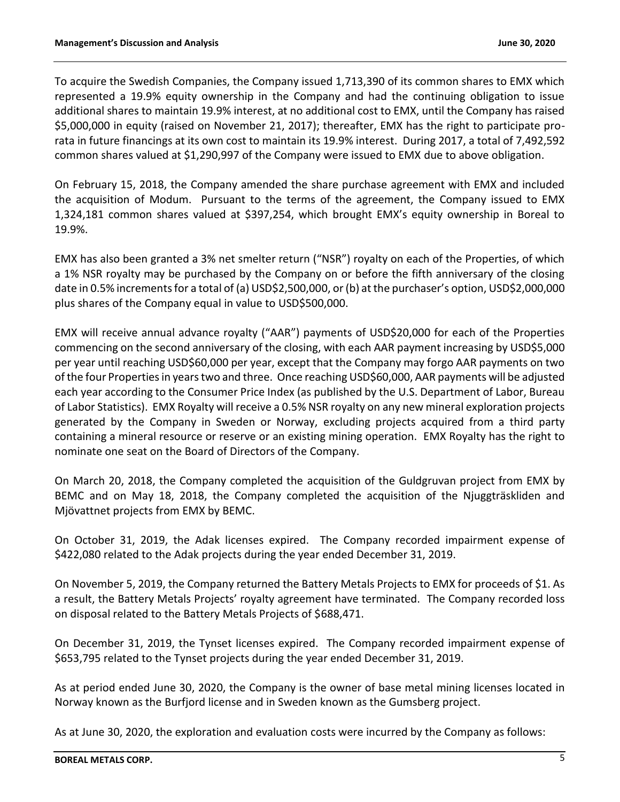To acquire the Swedish Companies, the Company issued 1,713,390 of its common shares to EMX which represented a 19.9% equity ownership in the Company and had the continuing obligation to issue additional shares to maintain 19.9% interest, at no additional cost to EMX, until the Company has raised \$5,000,000 in equity (raised on November 21, 2017); thereafter, EMX has the right to participate prorata in future financings at its own cost to maintain its 19.9% interest. During 2017, a total of 7,492,592 common shares valued at \$1,290,997 of the Company were issued to EMX due to above obligation.

On February 15, 2018, the Company amended the share purchase agreement with EMX and included the acquisition of Modum. Pursuant to the terms of the agreement, the Company issued to EMX 1,324,181 common shares valued at \$397,254, which brought EMX's equity ownership in Boreal to 19.9%.

EMX has also been granted a 3% net smelter return ("NSR") royalty on each of the Properties, of which a 1% NSR royalty may be purchased by the Company on or before the fifth anniversary of the closing date in 0.5% increments for a total of (a) USD\$2,500,000, or (b) at the purchaser's option, USD\$2,000,000 plus shares of the Company equal in value to USD\$500,000.

EMX will receive annual advance royalty ("AAR") payments of USD\$20,000 for each of the Properties commencing on the second anniversary of the closing, with each AAR payment increasing by USD\$5,000 per year until reaching USD\$60,000 per year, except that the Company may forgo AAR payments on two of the four Properties in years two and three. Once reaching USD\$60,000, AAR payments will be adjusted each year according to the Consumer Price Index (as published by the U.S. Department of Labor, Bureau of Labor Statistics). EMX Royalty will receive a 0.5% NSR royalty on any new mineral exploration projects generated by the Company in Sweden or Norway, excluding projects acquired from a third party containing a mineral resource or reserve or an existing mining operation. EMX Royalty has the right to nominate one seat on the Board of Directors of the Company.

On March 20, 2018, the Company completed the acquisition of the Guldgruvan project from EMX by BEMC and on May 18, 2018, the Company completed the acquisition of the Njuggträskliden and Mjövattnet projects from EMX by BEMC.

On October 31, 2019, the Adak licenses expired. The Company recorded impairment expense of \$422,080 related to the Adak projects during the year ended December 31, 2019.

On November 5, 2019, the Company returned the Battery Metals Projects to EMX for proceeds of \$1. As a result, the Battery Metals Projects' royalty agreement have terminated. The Company recorded loss on disposal related to the Battery Metals Projects of \$688,471.

On December 31, 2019, the Tynset licenses expired. The Company recorded impairment expense of \$653,795 related to the Tynset projects during the year ended December 31, 2019.

As at period ended June 30, 2020, the Company is the owner of base metal mining licenses located in Norway known as the Burfjord license and in Sweden known as the Gumsberg project.

As at June 30, 2020, the exploration and evaluation costs were incurred by the Company as follows: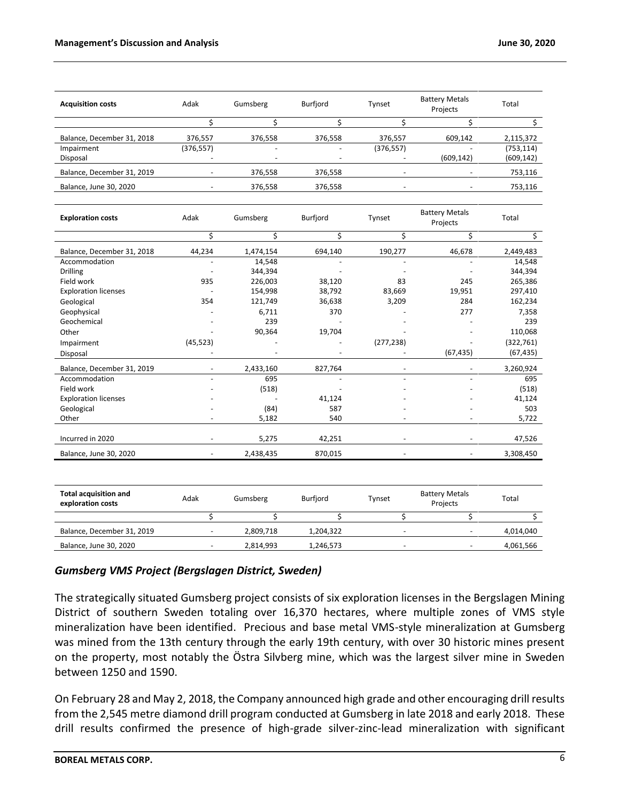| <b>Acquisition costs</b>   | Adak                     | Gumsberg                 | Burfjord                 | Tynset                   | <b>Battery Metals</b><br>Projects | Total      |
|----------------------------|--------------------------|--------------------------|--------------------------|--------------------------|-----------------------------------|------------|
|                            |                          |                          |                          |                          |                                   |            |
| Balance, December 31, 2018 | 376,557                  | 376,558                  | 376,558                  | 376,557                  | 609,142                           | 2,115,372  |
| Impairment                 | (376, 557)               | $\overline{\phantom{0}}$ | $\overline{\phantom{a}}$ | (376, 557)               |                                   | (753, 114) |
| Disposal                   |                          |                          |                          |                          | (609, 142)                        | (609, 142) |
| Balance, December 31, 2019 |                          | 376,558                  | 376,558                  | $\overline{\phantom{a}}$ |                                   | 753,116    |
| Balance, June 30, 2020     | $\overline{\phantom{0}}$ | 376,558                  | 376,558                  | $\overline{\phantom{0}}$ |                                   | 753,116    |

| <b>Exploration costs</b>    | Adak      | Gumsberg  | Burfjord | Tynset     | <b>Battery Metals</b><br>Projects | Total      |
|-----------------------------|-----------|-----------|----------|------------|-----------------------------------|------------|
|                             | Ś         | Ś         | Ś        | Ś          | \$                                | \$         |
| Balance, December 31, 2018  | 44,234    | 1,474,154 | 694,140  | 190,277    | 46,678                            | 2,449,483  |
| Accommodation               |           | 14,548    |          |            |                                   | 14,548     |
| <b>Drilling</b>             |           | 344,394   |          |            |                                   | 344,394    |
| Field work                  | 935       | 226,003   | 38,120   | 83         | 245                               | 265,386    |
| <b>Exploration licenses</b> |           | 154,998   | 38,792   | 83,669     | 19,951                            | 297,410    |
| Geological                  | 354       | 121,749   | 36,638   | 3,209      | 284                               | 162,234    |
| Geophysical                 |           | 6,711     | 370      |            | 277                               | 7,358      |
| Geochemical                 |           | 239       |          |            |                                   | 239        |
| Other                       |           | 90,364    | 19,704   |            |                                   | 110,068    |
| Impairment                  | (45, 523) |           |          | (277, 238) |                                   | (322, 761) |
| Disposal                    |           |           |          |            | (67, 435)                         | (67, 435)  |
| Balance, December 31, 2019  |           | 2,433,160 | 827,764  |            |                                   | 3,260,924  |
| Accommodation               |           | 695       |          | ٠          |                                   | 695        |
| Field work                  |           | (518)     |          |            |                                   | (518)      |
| <b>Exploration licenses</b> |           |           | 41,124   |            |                                   | 41,124     |
| Geological                  |           | (84)      | 587      |            |                                   | 503        |
| Other                       |           | 5,182     | 540      |            |                                   | 5,722      |
|                             |           |           |          |            |                                   |            |
| Incurred in 2020            |           | 5,275     | 42,251   |            |                                   | 47,526     |
| Balance, June 30, 2020      |           | 2,438,435 | 870,015  |            |                                   | 3,308,450  |

| <b>Total acquisition and</b><br>exploration costs | Adak                     | Gumsberg  | Burfiord  | Tvnset | <b>Battery Metals</b><br>Projects | Total     |
|---------------------------------------------------|--------------------------|-----------|-----------|--------|-----------------------------------|-----------|
|                                                   |                          |           |           |        |                                   |           |
| Balance, December 31, 2019                        | $\overline{\phantom{a}}$ | 2.809.718 | 1.204.322 | -      |                                   | 4,014,040 |
| Balance, June 30, 2020                            |                          | 2.814.993 | 1,246,573 |        |                                   | 4,061,566 |

# *Gumsberg VMS Project (Bergslagen District, Sweden)*

The strategically situated Gumsberg project consists of six exploration licenses in the Bergslagen Mining District of southern Sweden totaling over 16,370 hectares, where multiple zones of VMS style mineralization have been identified. Precious and base metal VMS-style mineralization at Gumsberg was mined from the 13th century through the early 19th century, with over 30 historic mines present on the property, most notably the Östra Silvberg mine, which was the largest silver mine in Sweden between 1250 and 1590.

On February 28 and May 2, 2018, the Company announced high grade and other encouraging drill results from the 2,545 metre diamond drill program conducted at Gumsberg in late 2018 and early 2018. These drill results confirmed the presence of high-grade silver-zinc-lead mineralization with significant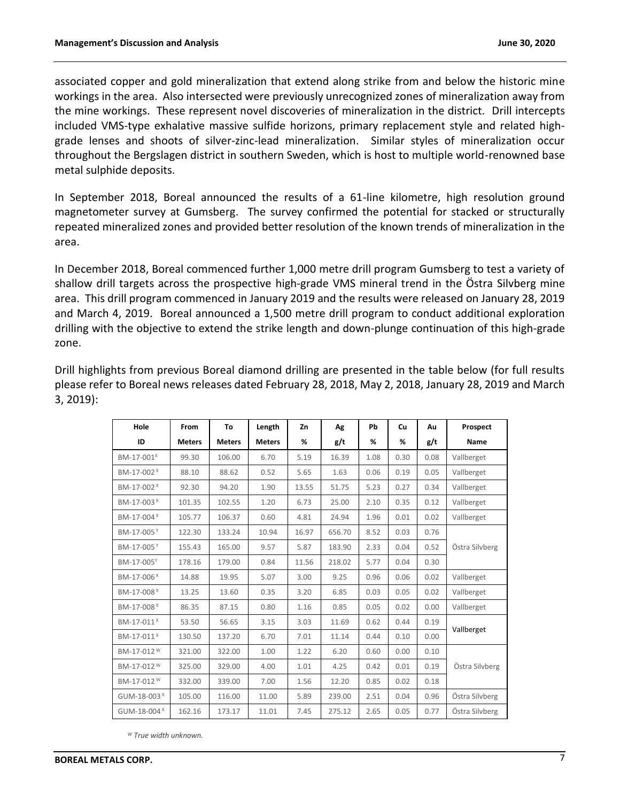associated copper and gold mineralization that extend along strike from and below the historic mine workings in the area. Also intersected were previously unrecognized zones of mineralization away from the mine workings. These represent novel discoveries of mineralization in the district. Drill intercepts included VMS-type exhalative massive sulfide horizons, primary replacement style and related highgrade lenses and shoots of silver-zinc-lead mineralization. Similar styles of mineralization occur throughout the Bergslagen district in southern Sweden, which is host to multiple world-renowned base metal sulphide deposits.

In September 2018, Boreal announced the results of a 61-line kilometre, high resolution ground magnetometer survey at Gumsberg. The survey confirmed the potential for stacked or structurally repeated mineralized zones and provided better resolution of the known trends of mineralization in the area.

In December 2018, Boreal commenced further 1,000 metre drill program Gumsberg to test a variety of shallow drill targets across the prospective high-grade VMS mineral trend in the Östra Silvberg mine area. This drill program commenced in January 2019 and the results were released on January 28, 2019 and March 4, 2019. Boreal announced a 1,500 metre drill program to conduct additional exploration drilling with the objective to extend the strike length and down-plunge continuation of this high-grade zone.

| Hole                    | From          | To            | Length        | Zn    | Ag     | Pb   | Cu   | Au   | Prospect       |
|-------------------------|---------------|---------------|---------------|-------|--------|------|------|------|----------------|
| ID                      | <b>Meters</b> | <b>Meters</b> | <b>Meters</b> | %     | g/t    | %    | %    | g/t  | Name           |
| BM-17-001 <sup>x</sup>  | 99.30         | 106.00        | 6.70          | 5.19  | 16.39  | 1.08 | 0.30 | 0.08 | Vallberget     |
| BM-17-002 <sup>X</sup>  | 88.10         | 88.62         | 0.52          | 5.65  | 1.63   | 0.06 | 0.19 | 0.05 | Vallberget     |
| BM-17-002 <sup>X</sup>  | 92.30         | 94.20         | 1.90          | 13.55 | 51.75  | 5.23 | 0.27 | 0.34 | Vallberget     |
| BM-17-003 <sup>X</sup>  | 101.35        | 102.55        | 1.20          | 6.73  | 25.00  | 2.10 | 0.35 | 0.12 | Vallberget     |
| BM-17-004 <sup>X</sup>  | 105.77        | 106.37        | 0.60          | 4.81  | 24.94  | 1.96 | 0.01 | 0.02 | Vallberget     |
| BM-17-005Y              | 122.30        | 133.24        | 10.94         | 16.97 | 656.70 | 8.52 | 0.03 | 0.76 |                |
| BM-17-005 <sup>Y</sup>  | 155.43        | 165.00        | 9.57          | 5.87  | 183.90 | 2.33 | 0.04 | 0.52 | Östra Silvberg |
| BM-17-005Y              | 178.16        | 179.00        | 0.84          | 11.56 | 218.02 | 5.77 | 0.04 | 0.30 |                |
| BM-17-006 <sup>X</sup>  | 14.88         | 19.95         | 5.07          | 3.00  | 9.25   | 0.96 | 0.06 | 0.02 | Vallberget     |
| BM-17-008 <sup>X</sup>  | 13.25         | 13.60         | 0.35          | 3.20  | 6.85   | 0.03 | 0.05 | 0.02 | Vallberget     |
| BM-17-008 <sup>X</sup>  | 86.35         | 87.15         | 0.80          | 1.16  | 0.85   | 0.05 | 0.02 | 0.00 | Vallberget     |
| BM-17-011 <sup>X</sup>  | 53.50         | 56.65         | 3.15          | 3.03  | 11.69  | 0.62 | 0.44 | 0.19 |                |
| BM-17-011 <sup>X</sup>  | 130.50        | 137.20        | 6.70          | 7.01  | 11.14  | 0.44 | 0.10 | 0.00 | Vallberget     |
| BM-17-012 <sup>W</sup>  | 321.00        | 322.00        | 1.00          | 1.22  | 6.20   | 0.60 | 0.00 | 0.10 |                |
| BM-17-012 <sup>W</sup>  | 325.00        | 329.00        | 4.00          | 1.01  | 4.25   | 0.42 | 0.01 | 0.19 | Östra Silvberg |
| BM-17-012 <sup>W</sup>  | 332.00        | 339.00        | 7.00          | 1.56  | 12.20  | 0.85 | 0.02 | 0.18 |                |
| GUM-18-003 <sup>X</sup> | 105.00        | 116.00        | 11.00         | 5.89  | 239.00 | 2.51 | 0.04 | 0.96 | Östra Silvberg |
| GUM-18-004 <sup>X</sup> | 162.16        | 173.17        | 11.01         | 7.45  | 275.12 | 2.65 | 0.05 | 0.77 | Östra Silvberg |

Drill highlights from previous Boreal diamond drilling are presented in the table below (for full results please refer to Boreal news releases dated February 28, 2018, May 2, 2018, January 28, 2019 and March 3, 2019):

*<sup>W</sup> True width unknown.*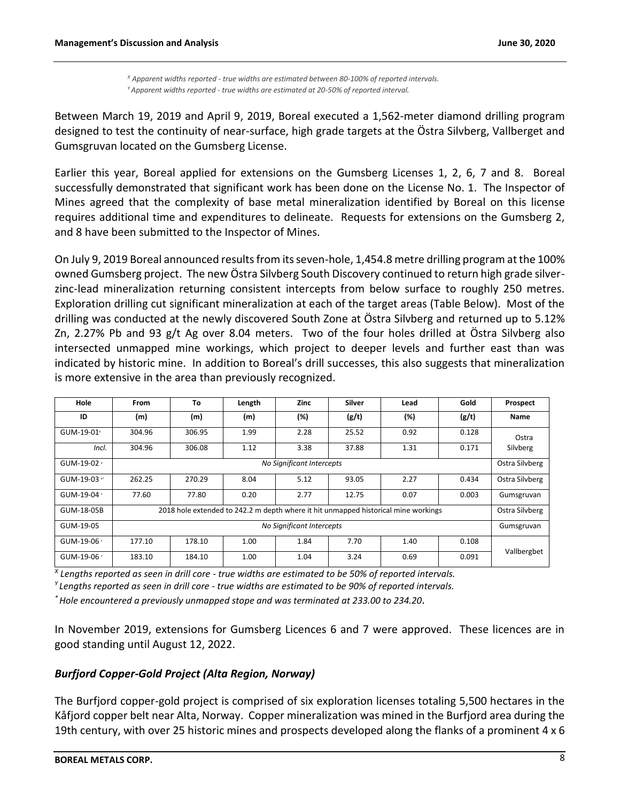*<sup>X</sup> Apparent widths reported - true widths are estimated between 80-100% of reported intervals. <sup>Y</sup>Apparent widths reported - true widths are estimated at 20-50% of reported interval.*

Between March 19, 2019 and April 9, 2019, Boreal executed a 1,562-meter diamond drilling program designed to test the continuity of near-surface, high grade targets at the Östra Silvberg, Vallberget and Gumsgruvan located on the Gumsberg License.

Earlier this year, Boreal applied for extensions on the Gumsberg Licenses 1, 2, 6, 7 and 8. Boreal successfully demonstrated that significant work has been done on the License No. 1. The Inspector of Mines agreed that the complexity of base metal mineralization identified by Boreal on this license requires additional time and expenditures to delineate. Requests for extensions on the Gumsberg 2, and 8 have been submitted to the Inspector of Mines.

On July 9, 2019 Boreal announced results from its seven-hole, 1,454.8 metre drilling program at the 100% owned Gumsberg project. The new Östra Silvberg South Discovery continued to return high grade silverzinc-lead mineralization returning consistent intercepts from below surface to roughly 250 metres. Exploration drilling cut significant mineralization at each of the target areas (Table Below). Most of the drilling was conducted at the newly discovered South Zone at Östra Silvberg and returned up to 5.12% Zn, 2.27% Pb and 93 g/t Ag over 8.04 meters. Two of the four holes drilled at Östra Silvberg also intersected unmapped mine workings, which project to deeper levels and further east than was indicated by historic mine. In addition to Boreal's drill successes, this also suggests that mineralization is more extensive in the area than previously recognized.

| Hole                     | <b>From</b> | To                        | Length | <b>Zinc</b>               | <b>Silver</b> | Lead                                                                               | Gold  | Prospect       |
|--------------------------|-------------|---------------------------|--------|---------------------------|---------------|------------------------------------------------------------------------------------|-------|----------------|
| ID                       | (m)         | (m)                       | (m)    | (%)                       | (g/t)         | (%)                                                                                | (g/t) | Name           |
| GUM-19-01 <sup>x</sup>   | 304.96      | 306.95                    | 1.99   | 2.28                      | 25.52         | 0.92                                                                               | 0.128 | Ostra          |
| Incl.                    | 304.96      | 306.08                    | 1.12   | 3.38                      | 37.88         | 1.31                                                                               | 0.171 | Silvberg       |
| GUM-19-02 ×              |             |                           |        | No Significant Intercepts |               |                                                                                    |       | Ostra Silvberg |
| GUM-19-03 x <sup>+</sup> | 262.25      | 270.29                    | 8.04   | 5.12                      | 93.05         | 2.27                                                                               | 0.434 | Ostra Silvberg |
| GUM-19-04 *              | 77.60       | 77.80                     | 0.20   | 2.77                      | 12.75         | 0.07                                                                               | 0.003 | Gumsgruvan     |
| GUM-18-05B               |             |                           |        |                           |               | 2018 hole extended to 242.2 m depth where it hit unmapped historical mine workings |       | Ostra Silvberg |
| GUM-19-05                |             | No Significant Intercepts |        |                           |               |                                                                                    |       | Gumsgruvan     |
| GUM-19-06 *              | 177.10      | 178.10                    | 1.00   | 1.84                      | 7.70          | 1.40                                                                               | 0.108 |                |
| GUM-19-06 *              | 183.10      | 184.10                    | 1.00   | 1.04                      | 3.24          | 0.69                                                                               | 0.091 | Vallbergbet    |

*X Lengths reported as seen in drill core - true widths are estimated to be 50% of reported intervals.*

*<sup>Y</sup>Lengths reported as seen in drill core - true widths are estimated to be 90% of reported intervals.*

*\* Hole encountered a previously unmapped stope and was terminated at 233.00 to 234.20*.

In November 2019, extensions for Gumsberg Licences 6 and 7 were approved. These licences are in good standing until August 12, 2022.

# *Burfjord Copper-Gold Project (Alta Region, Norway)*

The Burfjord copper-gold project is comprised of six exploration licenses totaling 5,500 hectares in the Kåfjord copper belt near Alta, Norway. Copper mineralization was mined in the Burfjord area during the 19th century, with over 25 historic mines and prospects developed along the flanks of a prominent 4 x 6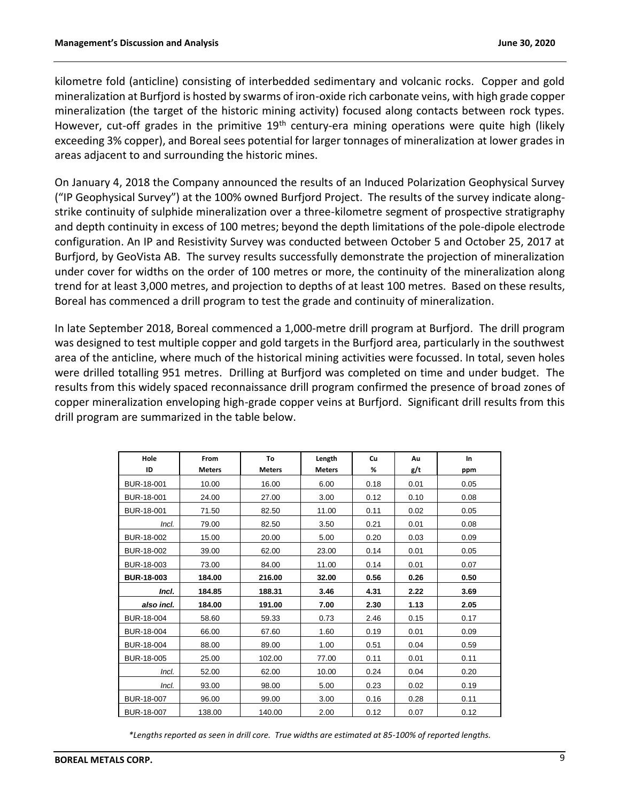kilometre fold (anticline) consisting of interbedded sedimentary and volcanic rocks. Copper and gold mineralization at Burfjord is hosted by swarms of iron-oxide rich carbonate veins, with high grade copper mineralization (the target of the historic mining activity) focused along contacts between rock types. However, cut-off grades in the primitive 19<sup>th</sup> century-era mining operations were quite high (likely exceeding 3% copper), and Boreal sees potential for larger tonnages of mineralization at lower grades in areas adjacent to and surrounding the historic mines.

On January 4, 2018 the Company announced the results of an Induced Polarization Geophysical Survey ("IP Geophysical Survey") at the 100% owned Burfjord Project. The results of the survey indicate alongstrike continuity of sulphide mineralization over a three-kilometre segment of prospective stratigraphy and depth continuity in excess of 100 metres; beyond the depth limitations of the pole-dipole electrode configuration. An IP and Resistivity Survey was conducted between October 5 and October 25, 2017 at Burfjord, by GeoVista AB. The survey results successfully demonstrate the projection of mineralization under cover for widths on the order of 100 metres or more, the continuity of the mineralization along trend for at least 3,000 metres, and projection to depths of at least 100 metres. Based on these results, Boreal has commenced a drill program to test the grade and continuity of mineralization.

In late September 2018, Boreal commenced a 1,000-metre drill program at Burfjord. The drill program was designed to test multiple copper and gold targets in the Burfjord area, particularly in the southwest area of the anticline, where much of the historical mining activities were focussed. In total, seven holes were drilled totalling 951 metres. Drilling at Burfjord was completed on time and under budget. The results from this widely spaced reconnaissance drill program confirmed the presence of broad zones of copper mineralization enveloping high-grade copper veins at Burfjord. Significant drill results from this drill program are summarized in the table below.

| Hole<br>ID        | From<br><b>Meters</b> | To<br><b>Meters</b> | Length<br><b>Meters</b> | Cu<br>% | Au<br>g/t | In<br>ppm |
|-------------------|-----------------------|---------------------|-------------------------|---------|-----------|-----------|
| BUR-18-001        | 10.00                 | 16.00               | 6.00                    | 0.18    | 0.01      | 0.05      |
| BUR-18-001        | 24.00                 | 27.00               | 3.00                    | 0.12    | 0.10      | 0.08      |
| BUR-18-001        | 71.50                 | 82.50               | 11.00                   | 0.11    | 0.02      | 0.05      |
| Incl.             | 79.00                 | 82.50               | 3.50                    | 0.21    | 0.01      | 0.08      |
| BUR-18-002        | 15.00                 | 20.00               | 5.00                    | 0.20    | 0.03      | 0.09      |
| BUR-18-002        | 39.00                 | 62.00               | 23.00                   | 0.14    | 0.01      | 0.05      |
| BUR-18-003        | 73.00                 | 84.00               | 11.00                   | 0.14    | 0.01      | 0.07      |
| <b>BUR-18-003</b> | 184.00                | 216.00              | 32.00                   | 0.56    | 0.26      | 0.50      |
| Incl.             | 184.85                | 188.31              | 3.46                    | 4.31    | 2.22      | 3.69      |
| also incl.        | 184.00                | 191.00              | 7.00                    | 2.30    | 1.13      | 2.05      |
| BUR-18-004        | 58.60                 | 59.33               | 0.73                    | 2.46    | 0.15      | 0.17      |
| BUR-18-004        | 66.00                 | 67.60               | 1.60                    | 0.19    | 0.01      | 0.09      |
| BUR-18-004        | 88.00                 | 89.00               | 1.00                    | 0.51    | 0.04      | 0.59      |
| BUR-18-005        | 25.00                 | 102.00              | 77.00                   | 0.11    | 0.01      | 0.11      |
| Incl.             | 52.00                 | 62.00               | 10.00                   | 0.24    | 0.04      | 0.20      |
| Incl.             | 93.00                 | 98.00               | 5.00                    | 0.23    | 0.02      | 0.19      |
| BUR-18-007        | 96.00                 | 99.00               | 3.00                    | 0.16    | 0.28      | 0.11      |
| BUR-18-007        | 138.00                | 140.00              | 2.00                    | 0.12    | 0.07      | 0.12      |

*\*Lengths reported as seen in drill core. True widths are estimated at 85-100% of reported lengths.*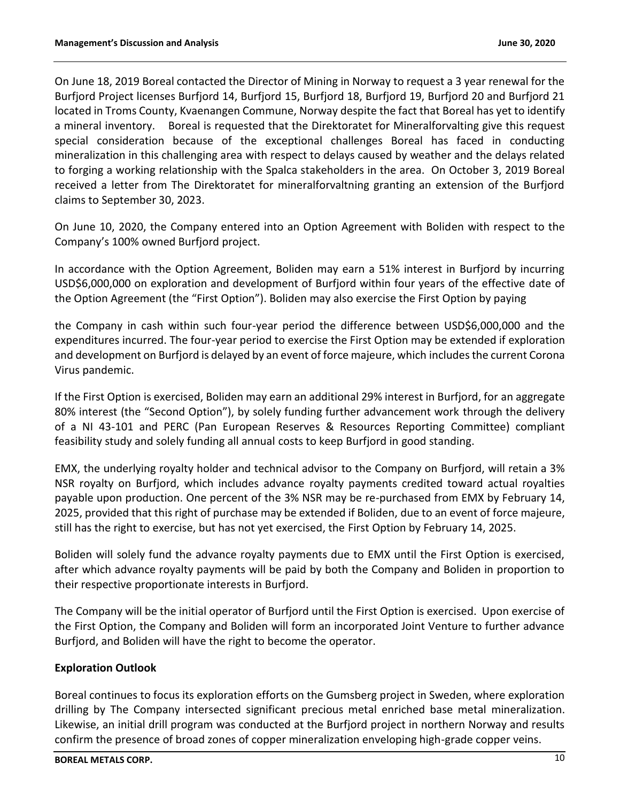On June 18, 2019 Boreal contacted the Director of Mining in Norway to request a 3 year renewal for the Burfjord Project licenses Burfjord 14, Burfjord 15, Burfjord 18, Burfjord 19, Burfjord 20 and Burfjord 21 located in Troms County, Kvaenangen Commune, Norway despite the fact that Boreal has yet to identify a mineral inventory. Boreal is requested that the Direktoratet for Mineralforvalting give this request special consideration because of the exceptional challenges Boreal has faced in conducting mineralization in this challenging area with respect to delays caused by weather and the delays related to forging a working relationship with the Spalca stakeholders in the area. On October 3, 2019 Boreal received a letter from The Direktoratet for mineralforvaltning granting an extension of the Burfjord claims to September 30, 2023.

On June 10, 2020, the Company entered into an Option Agreement with Boliden with respect to the Company's 100% owned Burfjord project.

In accordance with the Option Agreement, Boliden may earn a 51% interest in Burfjord by incurring USD\$6,000,000 on exploration and development of Burfjord within four years of the effective date of the Option Agreement (the "First Option"). Boliden may also exercise the First Option by paying

the Company in cash within such four-year period the difference between USD\$6,000,000 and the expenditures incurred. The four-year period to exercise the First Option may be extended if exploration and development on Burfjord is delayed by an event of force majeure, which includes the current Corona Virus pandemic.

If the First Option is exercised, Boliden may earn an additional 29% interest in Burfjord, for an aggregate 80% interest (the "Second Option"), by solely funding further advancement work through the delivery of a NI 43-101 and PERC (Pan European Reserves & Resources Reporting Committee) compliant feasibility study and solely funding all annual costs to keep Burfjord in good standing.

EMX, the underlying royalty holder and technical advisor to the Company on Burfjord, will retain a 3% NSR royalty on Burfjord, which includes advance royalty payments credited toward actual royalties payable upon production. One percent of the 3% NSR may be re-purchased from EMX by February 14, 2025, provided that this right of purchase may be extended if Boliden, due to an event of force majeure, still has the right to exercise, but has not yet exercised, the First Option by February 14, 2025.

Boliden will solely fund the advance royalty payments due to EMX until the First Option is exercised, after which advance royalty payments will be paid by both the Company and Boliden in proportion to their respective proportionate interests in Burfjord.

The Company will be the initial operator of Burfjord until the First Option is exercised. Upon exercise of the First Option, the Company and Boliden will form an incorporated Joint Venture to further advance Burfjord, and Boliden will have the right to become the operator.

# **Exploration Outlook**

Boreal continues to focus its exploration efforts on the Gumsberg project in Sweden, where exploration drilling by The Company intersected significant precious metal enriched base metal mineralization. Likewise, an initial drill program was conducted at the Burfjord project in northern Norway and results confirm the presence of broad zones of copper mineralization enveloping high-grade copper veins.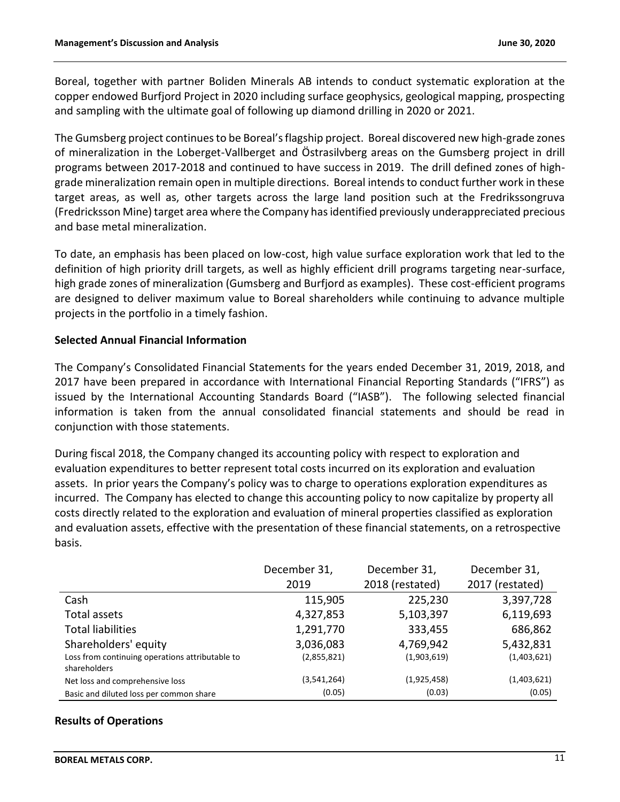Boreal, together with partner Boliden Minerals AB intends to conduct systematic exploration at the copper endowed Burfjord Project in 2020 including surface geophysics, geological mapping, prospecting and sampling with the ultimate goal of following up diamond drilling in 2020 or 2021.

The Gumsberg project continues to be Boreal's flagship project. Boreal discovered new high-grade zones of mineralization in the Loberget-Vallberget and Östrasilvberg areas on the Gumsberg project in drill programs between 2017-2018 and continued to have success in 2019. The drill defined zones of highgrade mineralization remain open in multiple directions. Boreal intends to conduct further work in these target areas, as well as, other targets across the large land position such at the Fredrikssongruva (Fredricksson Mine) target area where the Company has identified previously underappreciated precious and base metal mineralization.

To date, an emphasis has been placed on low-cost, high value surface exploration work that led to the definition of high priority drill targets, as well as highly efficient drill programs targeting near-surface, high grade zones of mineralization (Gumsberg and Burfjord as examples). These cost-efficient programs are designed to deliver maximum value to Boreal shareholders while continuing to advance multiple projects in the portfolio in a timely fashion.

# **Selected Annual Financial Information**

The Company's Consolidated Financial Statements for the years ended December 31, 2019, 2018, and 2017 have been prepared in accordance with International Financial Reporting Standards ("IFRS") as issued by the International Accounting Standards Board ("IASB"). The following selected financial information is taken from the annual consolidated financial statements and should be read in conjunction with those statements.

During fiscal 2018, the Company changed its accounting policy with respect to exploration and evaluation expenditures to better represent total costs incurred on its exploration and evaluation assets. In prior years the Company's policy was to charge to operations exploration expenditures as incurred. The Company has elected to change this accounting policy to now capitalize by property all costs directly related to the exploration and evaluation of mineral properties classified as exploration and evaluation assets, effective with the presentation of these financial statements, on a retrospective basis.

|                                                                 | December 31, | December 31,    | December 31,    |
|-----------------------------------------------------------------|--------------|-----------------|-----------------|
|                                                                 | 2019         | 2018 (restated) | 2017 (restated) |
| Cash                                                            | 115,905      | 225,230         | 3,397,728       |
| Total assets                                                    | 4,327,853    | 5,103,397       | 6,119,693       |
| <b>Total liabilities</b>                                        | 1,291,770    | 333,455         | 686,862         |
| Shareholders' equity                                            | 3,036,083    | 4,769,942       | 5,432,831       |
| Loss from continuing operations attributable to<br>shareholders | (2,855,821)  | (1,903,619)     | (1,403,621)     |
| Net loss and comprehensive loss                                 | (3,541,264)  | (1,925,458)     | (1,403,621)     |
| Basic and diluted loss per common share                         | (0.05)       | (0.03)          | (0.05)          |

# **Results of Operations**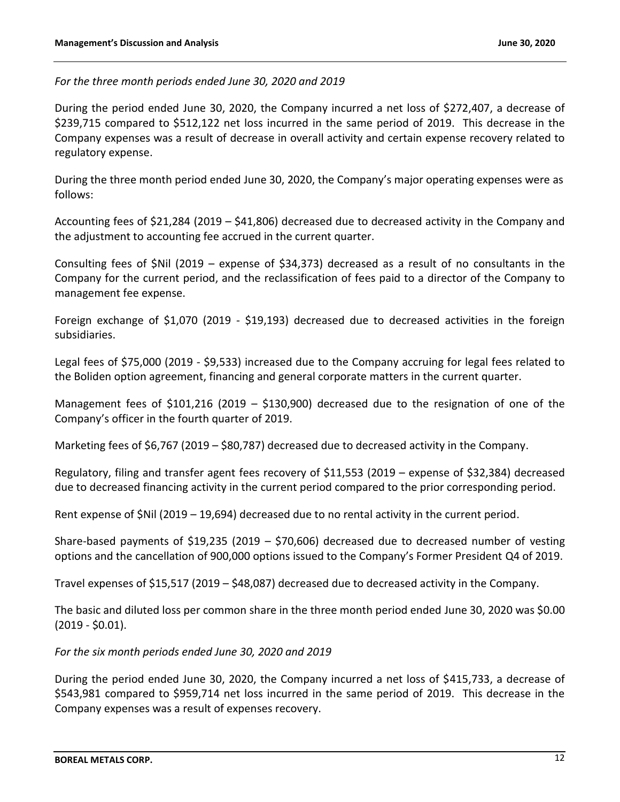*For the three month periods ended June 30, 2020 and 2019*

During the period ended June 30, 2020, the Company incurred a net loss of \$272,407, a decrease of \$239,715 compared to \$512,122 net loss incurred in the same period of 2019. This decrease in the Company expenses was a result of decrease in overall activity and certain expense recovery related to regulatory expense.

During the three month period ended June 30, 2020, the Company's major operating expenses were as follows:

Accounting fees of \$21,284 (2019 – \$41,806) decreased due to decreased activity in the Company and the adjustment to accounting fee accrued in the current quarter.

Consulting fees of \$Nil (2019 – expense of \$34,373) decreased as a result of no consultants in the Company for the current period, and the reclassification of fees paid to a director of the Company to management fee expense.

Foreign exchange of \$1,070 (2019 - \$19,193) decreased due to decreased activities in the foreign subsidiaries.

Legal fees of \$75,000 (2019 - \$9,533) increased due to the Company accruing for legal fees related to the Boliden option agreement, financing and general corporate matters in the current quarter.

Management fees of \$101,216 (2019 – \$130,900) decreased due to the resignation of one of the Company's officer in the fourth quarter of 2019.

Marketing fees of \$6,767 (2019 – \$80,787) decreased due to decreased activity in the Company.

Regulatory, filing and transfer agent fees recovery of \$11,553 (2019 – expense of \$32,384) decreased due to decreased financing activity in the current period compared to the prior corresponding period.

Rent expense of \$Nil (2019 – 19,694) decreased due to no rental activity in the current period.

Share-based payments of \$19,235 (2019 – \$70,606) decreased due to decreased number of vesting options and the cancellation of 900,000 options issued to the Company's Former President Q4 of 2019.

Travel expenses of \$15,517 (2019 – \$48,087) decreased due to decreased activity in the Company.

The basic and diluted loss per common share in the three month period ended June 30, 2020 was \$0.00 (2019 - \$0.01).

# *For the six month periods ended June 30, 2020 and 2019*

During the period ended June 30, 2020, the Company incurred a net loss of \$415,733, a decrease of \$543,981 compared to \$959,714 net loss incurred in the same period of 2019. This decrease in the Company expenses was a result of expenses recovery.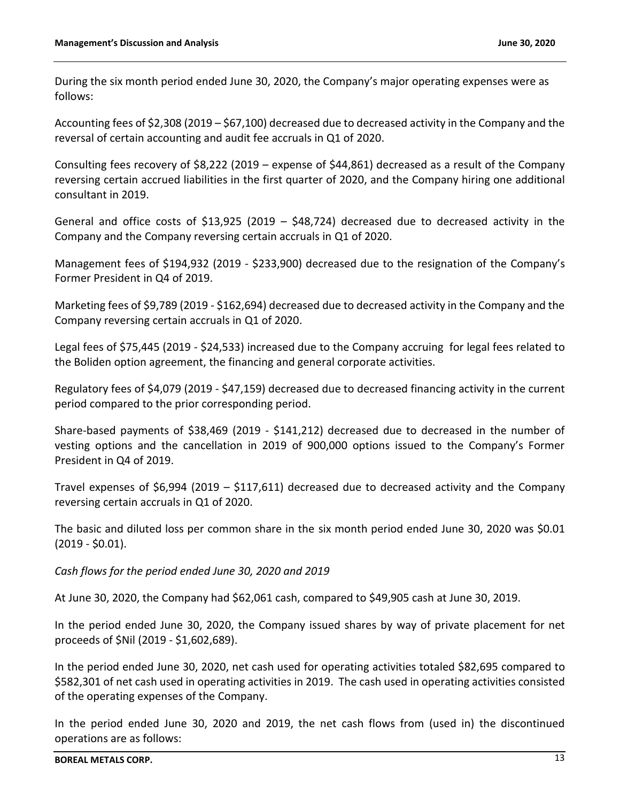During the six month period ended June 30, 2020, the Company's major operating expenses were as follows:

Accounting fees of \$2,308 (2019 – \$67,100) decreased due to decreased activity in the Company and the reversal of certain accounting and audit fee accruals in Q1 of 2020.

Consulting fees recovery of \$8,222 (2019 – expense of \$44,861) decreased as a result of the Company reversing certain accrued liabilities in the first quarter of 2020, and the Company hiring one additional consultant in 2019.

General and office costs of \$13,925 (2019 – \$48,724) decreased due to decreased activity in the Company and the Company reversing certain accruals in Q1 of 2020.

Management fees of \$194,932 (2019 - \$233,900) decreased due to the resignation of the Company's Former President in Q4 of 2019.

Marketing fees of \$9,789 (2019 - \$162,694) decreased due to decreased activity in the Company and the Company reversing certain accruals in Q1 of 2020.

Legal fees of \$75,445 (2019 - \$24,533) increased due to the Company accruing for legal fees related to the Boliden option agreement, the financing and general corporate activities.

Regulatory fees of \$4,079 (2019 - \$47,159) decreased due to decreased financing activity in the current period compared to the prior corresponding period.

Share-based payments of \$38,469 (2019 - \$141,212) decreased due to decreased in the number of vesting options and the cancellation in 2019 of 900,000 options issued to the Company's Former President in Q4 of 2019.

Travel expenses of \$6,994 (2019 – \$117,611) decreased due to decreased activity and the Company reversing certain accruals in Q1 of 2020.

The basic and diluted loss per common share in the six month period ended June 30, 2020 was \$0.01 (2019 - \$0.01).

*Cash flows for the period ended June 30, 2020 and 2019*

At June 30, 2020, the Company had \$62,061 cash, compared to \$49,905 cash at June 30, 2019.

In the period ended June 30, 2020, the Company issued shares by way of private placement for net proceeds of \$Nil (2019 - \$1,602,689).

In the period ended June 30, 2020, net cash used for operating activities totaled \$82,695 compared to \$582,301 of net cash used in operating activities in 2019. The cash used in operating activities consisted of the operating expenses of the Company.

In the period ended June 30, 2020 and 2019, the net cash flows from (used in) the discontinued operations are as follows: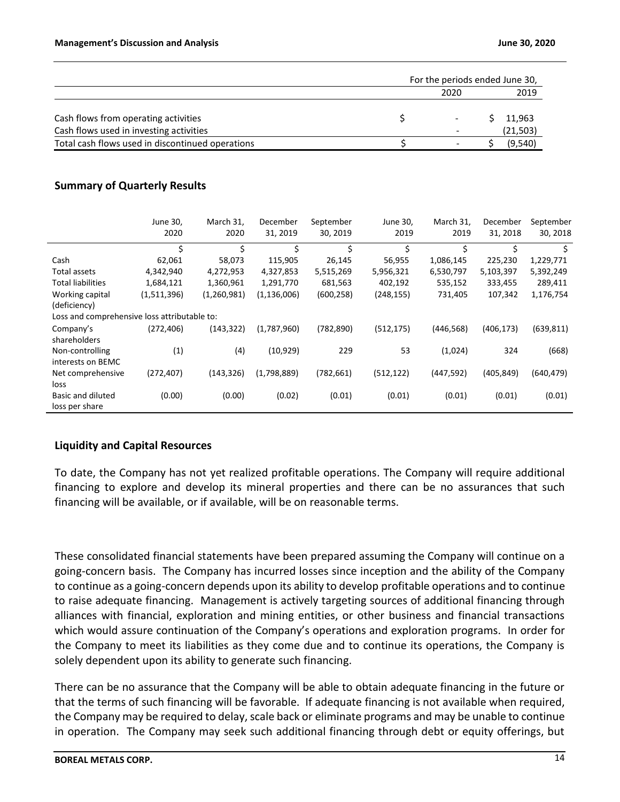|                                                  | For the periods ended June 30, |           |
|--------------------------------------------------|--------------------------------|-----------|
|                                                  | 2020                           | 2019      |
|                                                  |                                |           |
| Cash flows from operating activities             |                                | 11,963    |
| Cash flows used in investing activities          | -                              | (21, 503) |
| Total cash flows used in discontinued operations | $\overline{\phantom{0}}$       | (9.540)   |

# **Summary of Quarterly Results**

|                                              | June 30,<br>2020 | March 31,<br>2020 | December<br>31, 2019 | September<br>30, 2019 | June 30,<br>2019 | March 31,<br>2019 | December<br>31, 2018 | September<br>30, 2018 |
|----------------------------------------------|------------------|-------------------|----------------------|-----------------------|------------------|-------------------|----------------------|-----------------------|
|                                              | \$               | \$                | \$                   | \$                    | \$               | Ś                 | \$                   | \$                    |
| Cash                                         | 62,061           | 58,073            | 115,905              | 26,145                | 56,955           | 1,086,145         | 225,230              | 1,229,771             |
| Total assets                                 | 4,342,940        | 4,272,953         | 4,327,853            | 5,515,269             | 5,956,321        | 6,530,797         | 5,103,397            | 5,392,249             |
| <b>Total liabilities</b>                     | 1,684,121        | 1,360,961         | 1,291,770            | 681,563               | 402,192          | 535,152           | 333,455              | 289,411               |
| Working capital                              | (1,511,396)      | (1,260,981)       | (1, 136, 006)        | (600, 258)            | (248, 155)       | 731,405           | 107,342              | 1,176,754             |
| (deficiency)                                 |                  |                   |                      |                       |                  |                   |                      |                       |
| Loss and comprehensive loss attributable to: |                  |                   |                      |                       |                  |                   |                      |                       |
| Company's                                    | (272, 406)       | (143, 322)        | (1,787,960)          | (782, 890)            | (512, 175)       | (446, 568)        | (406, 173)           | (639, 811)            |
| shareholders                                 |                  |                   |                      |                       |                  |                   |                      |                       |
| Non-controlling                              | (1)              | (4)               | (10, 929)            | 229                   | 53               | (1,024)           | 324                  | (668)                 |
| interests on BEMC                            |                  |                   |                      |                       |                  |                   |                      |                       |
| Net comprehensive                            | (272, 407)       | (143, 326)        | (1,798,889)          | (782, 661)            | (512, 122)       | (447,592)         | (405, 849)           | (640, 479)            |
| loss                                         |                  |                   |                      |                       |                  |                   |                      |                       |
| Basic and diluted                            | (0.00)           | (0.00)            | (0.02)               | (0.01)                | (0.01)           | (0.01)            | (0.01)               | (0.01)                |
| loss per share                               |                  |                   |                      |                       |                  |                   |                      |                       |

# **Liquidity and Capital Resources**

To date, the Company has not yet realized profitable operations. The Company will require additional financing to explore and develop its mineral properties and there can be no assurances that such financing will be available, or if available, will be on reasonable terms.

These consolidated financial statements have been prepared assuming the Company will continue on a going-concern basis. The Company has incurred losses since inception and the ability of the Company to continue as a going-concern depends upon its ability to develop profitable operations and to continue to raise adequate financing. Management is actively targeting sources of additional financing through alliances with financial, exploration and mining entities, or other business and financial transactions which would assure continuation of the Company's operations and exploration programs. In order for the Company to meet its liabilities as they come due and to continue its operations, the Company is solely dependent upon its ability to generate such financing.

There can be no assurance that the Company will be able to obtain adequate financing in the future or that the terms of such financing will be favorable. If adequate financing is not available when required, the Company may be required to delay, scale back or eliminate programs and may be unable to continue in operation. The Company may seek such additional financing through debt or equity offerings, but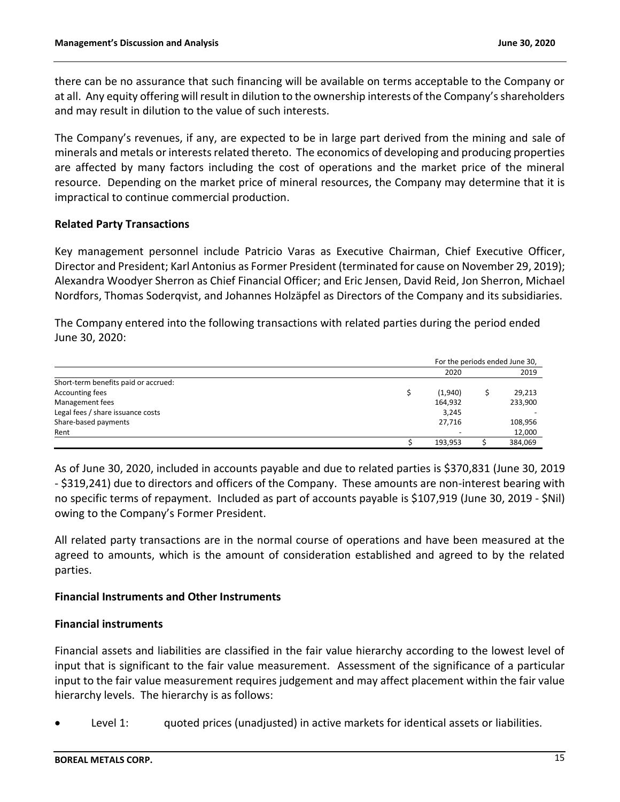there can be no assurance that such financing will be available on terms acceptable to the Company or at all. Any equity offering will result in dilution to the ownership interests of the Company's shareholders and may result in dilution to the value of such interests.

The Company's revenues, if any, are expected to be in large part derived from the mining and sale of minerals and metals or interests related thereto. The economics of developing and producing properties are affected by many factors including the cost of operations and the market price of the mineral resource. Depending on the market price of mineral resources, the Company may determine that it is impractical to continue commercial production.

### **Related Party Transactions**

Key management personnel include Patricio Varas as Executive Chairman, Chief Executive Officer, Director and President; Karl Antonius as Former President (terminated for cause on November 29, 2019); Alexandra Woodyer Sherron as Chief Financial Officer; and Eric Jensen, David Reid, Jon Sherron, Michael Nordfors, Thomas Soderqvist, and Johannes Holzäpfel as Directors of the Company and its subsidiaries.

The Company entered into the following transactions with related parties during the period ended June 30, 2020:

|                                      | For the periods ended June 30, |         |
|--------------------------------------|--------------------------------|---------|
|                                      | 2020                           | 2019    |
| Short-term benefits paid or accrued: |                                |         |
| Accounting fees                      | (1,940)                        | 29,213  |
| Management fees                      | 164,932                        | 233,900 |
| Legal fees / share issuance costs    | 3,245                          |         |
| Share-based payments                 | 27,716                         | 108,956 |
| Rent                                 |                                | 12,000  |
|                                      | 193,953                        | 384,069 |

As of June 30, 2020, included in accounts payable and due to related parties is \$370,831 (June 30, 2019 - \$319,241) due to directors and officers of the Company. These amounts are non-interest bearing with no specific terms of repayment. Included as part of accounts payable is \$107,919 (June 30, 2019 - \$Nil) owing to the Company's Former President.

All related party transactions are in the normal course of operations and have been measured at the agreed to amounts, which is the amount of consideration established and agreed to by the related parties.

# **Financial Instruments and Other Instruments**

# **Financial instruments**

Financial assets and liabilities are classified in the fair value hierarchy according to the lowest level of input that is significant to the fair value measurement. Assessment of the significance of a particular input to the fair value measurement requires judgement and may affect placement within the fair value hierarchy levels. The hierarchy is as follows:

Level 1: guoted prices (unadjusted) in active markets for identical assets or liabilities.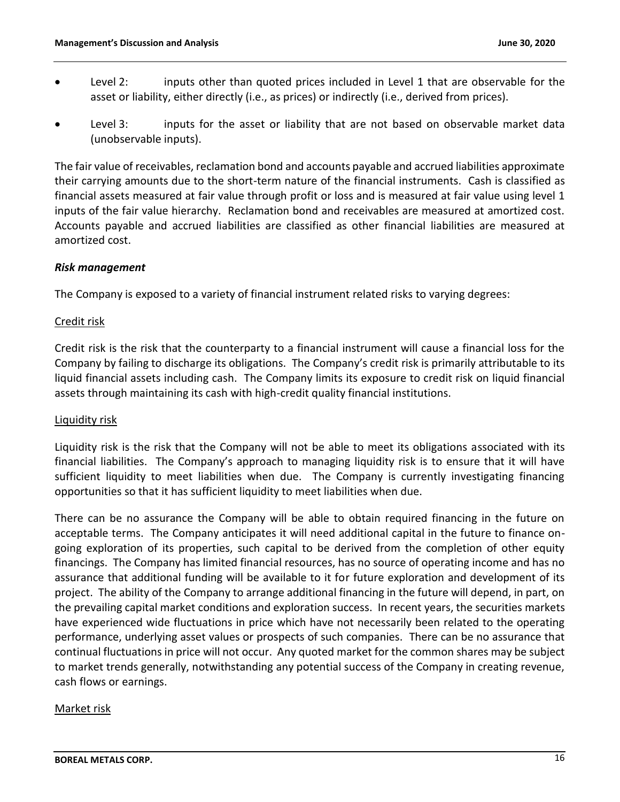- Level 2: inputs other than quoted prices included in Level 1 that are observable for the asset or liability, either directly (i.e., as prices) or indirectly (i.e., derived from prices).
- Level 3: inputs for the asset or liability that are not based on observable market data (unobservable inputs).

The fair value of receivables, reclamation bond and accounts payable and accrued liabilities approximate their carrying amounts due to the short-term nature of the financial instruments. Cash is classified as financial assets measured at fair value through profit or loss and is measured at fair value using level 1 inputs of the fair value hierarchy. Reclamation bond and receivables are measured at amortized cost. Accounts payable and accrued liabilities are classified as other financial liabilities are measured at amortized cost.

### *Risk management*

The Company is exposed to a variety of financial instrument related risks to varying degrees:

# Credit risk

Credit risk is the risk that the counterparty to a financial instrument will cause a financial loss for the Company by failing to discharge its obligations. The Company's credit risk is primarily attributable to its liquid financial assets including cash. The Company limits its exposure to credit risk on liquid financial assets through maintaining its cash with high-credit quality financial institutions.

#### Liquidity risk

Liquidity risk is the risk that the Company will not be able to meet its obligations associated with its financial liabilities. The Company's approach to managing liquidity risk is to ensure that it will have sufficient liquidity to meet liabilities when due. The Company is currently investigating financing opportunities so that it has sufficient liquidity to meet liabilities when due.

There can be no assurance the Company will be able to obtain required financing in the future on acceptable terms. The Company anticipates it will need additional capital in the future to finance ongoing exploration of its properties, such capital to be derived from the completion of other equity financings. The Company has limited financial resources, has no source of operating income and has no assurance that additional funding will be available to it for future exploration and development of its project. The ability of the Company to arrange additional financing in the future will depend, in part, on the prevailing capital market conditions and exploration success. In recent years, the securities markets have experienced wide fluctuations in price which have not necessarily been related to the operating performance, underlying asset values or prospects of such companies. There can be no assurance that continual fluctuations in price will not occur. Any quoted market for the common shares may be subject to market trends generally, notwithstanding any potential success of the Company in creating revenue, cash flows or earnings.

#### Market risk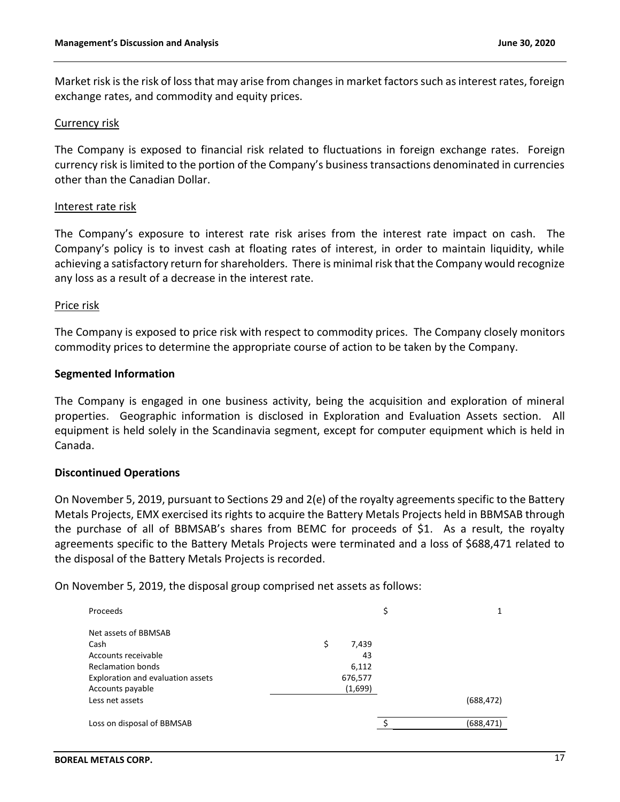Market risk is the risk of loss that may arise from changes in market factors such as interest rates, foreign exchange rates, and commodity and equity prices.

#### Currency risk

The Company is exposed to financial risk related to fluctuations in foreign exchange rates. Foreign currency risk is limited to the portion of the Company's business transactions denominated in currencies other than the Canadian Dollar.

#### Interest rate risk

The Company's exposure to interest rate risk arises from the interest rate impact on cash. The Company's policy is to invest cash at floating rates of interest, in order to maintain liquidity, while achieving a satisfactory return for shareholders. There is minimal risk that the Company would recognize any loss as a result of a decrease in the interest rate.

#### Price risk

The Company is exposed to price risk with respect to commodity prices. The Company closely monitors commodity prices to determine the appropriate course of action to be taken by the Company.

#### **Segmented Information**

The Company is engaged in one business activity, being the acquisition and exploration of mineral properties. Geographic information is disclosed in Exploration and Evaluation Assets section. All equipment is held solely in the Scandinavia segment, except for computer equipment which is held in Canada.

#### **Discontinued Operations**

On November 5, 2019, pursuant to Sections 29 and 2(e) of the royalty agreements specific to the Battery Metals Projects, EMX exercised its rights to acquire the Battery Metals Projects held in BBMSAB through the purchase of all of BBMSAB's shares from BEMC for proceeds of \$1. As a result, the royalty agreements specific to the Battery Metals Projects were terminated and a loss of \$688,471 related to the disposal of the Battery Metals Projects is recorded.

On November 5, 2019, the disposal group comprised net assets as follows:

| Proceeds                          |             | \$ |            |
|-----------------------------------|-------------|----|------------|
| Net assets of BBMSAB              |             |    |            |
| Cash                              | \$<br>7,439 |    |            |
| Accounts receivable               | 43          |    |            |
| <b>Reclamation bonds</b>          | 6,112       |    |            |
| Exploration and evaluation assets | 676,577     |    |            |
| Accounts payable                  | (1,699)     |    |            |
| Less net assets                   |             |    | (688, 472) |
| Loss on disposal of BBMSAB        |             | c  | (688, 471) |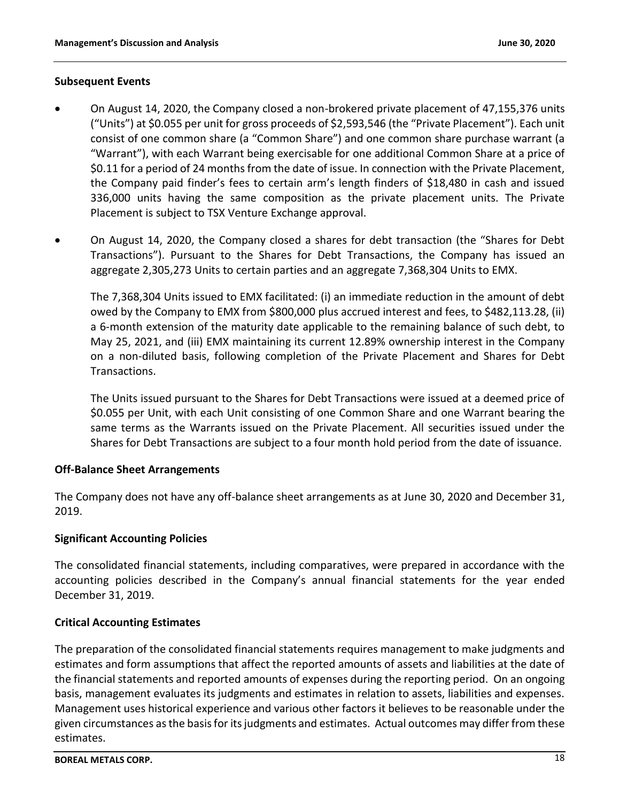### **Subsequent Events**

- On August 14, 2020, the Company closed a non-brokered private placement of 47,155,376 units ("Units") at \$0.055 per unit for gross proceeds of \$2,593,546 (the "Private Placement"). Each unit consist of one common share (a "Common Share") and one common share purchase warrant (a "Warrant"), with each Warrant being exercisable for one additional Common Share at a price of \$0.11 for a period of 24 months from the date of issue. In connection with the Private Placement, the Company paid finder's fees to certain arm's length finders of \$18,480 in cash and issued 336,000 units having the same composition as the private placement units. The Private Placement is subject to TSX Venture Exchange approval.
- On August 14, 2020, the Company closed a shares for debt transaction (the "Shares for Debt Transactions"). Pursuant to the Shares for Debt Transactions, the Company has issued an aggregate 2,305,273 Units to certain parties and an aggregate 7,368,304 Units to EMX.

The 7,368,304 Units issued to EMX facilitated: (i) an immediate reduction in the amount of debt owed by the Company to EMX from \$800,000 plus accrued interest and fees, to \$482,113.28, (ii) a 6-month extension of the maturity date applicable to the remaining balance of such debt, to May 25, 2021, and (iii) EMX maintaining its current 12.89% ownership interest in the Company on a non-diluted basis, following completion of the Private Placement and Shares for Debt Transactions.

The Units issued pursuant to the Shares for Debt Transactions were issued at a deemed price of \$0.055 per Unit, with each Unit consisting of one Common Share and one Warrant bearing the same terms as the Warrants issued on the Private Placement. All securities issued under the Shares for Debt Transactions are subject to a four month hold period from the date of issuance.

# **Off-Balance Sheet Arrangements**

The Company does not have any off-balance sheet arrangements as at June 30, 2020 and December 31, 2019.

# **Significant Accounting Policies**

The consolidated financial statements, including comparatives, were prepared in accordance with the accounting policies described in the Company's annual financial statements for the year ended December 31, 2019.

# **Critical Accounting Estimates**

The preparation of the consolidated financial statements requires management to make judgments and estimates and form assumptions that affect the reported amounts of assets and liabilities at the date of the financial statements and reported amounts of expenses during the reporting period. On an ongoing basis, management evaluates its judgments and estimates in relation to assets, liabilities and expenses. Management uses historical experience and various other factors it believes to be reasonable under the given circumstances as the basis for its judgments and estimates. Actual outcomes may differ from these estimates.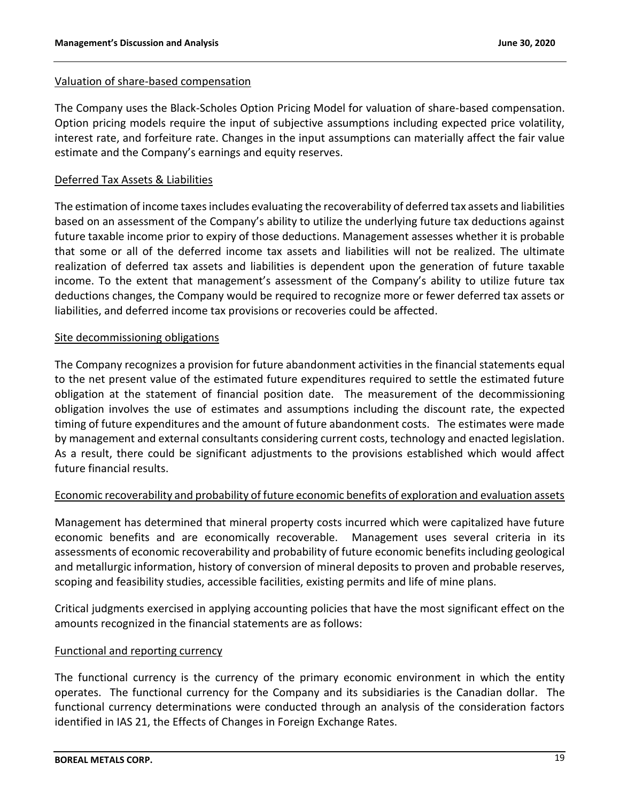#### Valuation of share-based compensation

The Company uses the Black-Scholes Option Pricing Model for valuation of share-based compensation. Option pricing models require the input of subjective assumptions including expected price volatility, interest rate, and forfeiture rate. Changes in the input assumptions can materially affect the fair value estimate and the Company's earnings and equity reserves.

# Deferred Tax Assets & Liabilities

The estimation of income taxes includes evaluating the recoverability of deferred tax assets and liabilities based on an assessment of the Company's ability to utilize the underlying future tax deductions against future taxable income prior to expiry of those deductions. Management assesses whether it is probable that some or all of the deferred income tax assets and liabilities will not be realized. The ultimate realization of deferred tax assets and liabilities is dependent upon the generation of future taxable income. To the extent that management's assessment of the Company's ability to utilize future tax deductions changes, the Company would be required to recognize more or fewer deferred tax assets or liabilities, and deferred income tax provisions or recoveries could be affected.

### Site decommissioning obligations

The Company recognizes a provision for future abandonment activities in the financial statements equal to the net present value of the estimated future expenditures required to settle the estimated future obligation at the statement of financial position date. The measurement of the decommissioning obligation involves the use of estimates and assumptions including the discount rate, the expected timing of future expenditures and the amount of future abandonment costs. The estimates were made by management and external consultants considering current costs, technology and enacted legislation. As a result, there could be significant adjustments to the provisions established which would affect future financial results.

# Economic recoverability and probability of future economic benefits of exploration and evaluation assets

Management has determined that mineral property costs incurred which were capitalized have future economic benefits and are economically recoverable. Management uses several criteria in its assessments of economic recoverability and probability of future economic benefits including geological and metallurgic information, history of conversion of mineral deposits to proven and probable reserves, scoping and feasibility studies, accessible facilities, existing permits and life of mine plans.

Critical judgments exercised in applying accounting policies that have the most significant effect on the amounts recognized in the financial statements are as follows:

# Functional and reporting currency

The functional currency is the currency of the primary economic environment in which the entity operates. The functional currency for the Company and its subsidiaries is the Canadian dollar. The functional currency determinations were conducted through an analysis of the consideration factors identified in IAS 21, the Effects of Changes in Foreign Exchange Rates.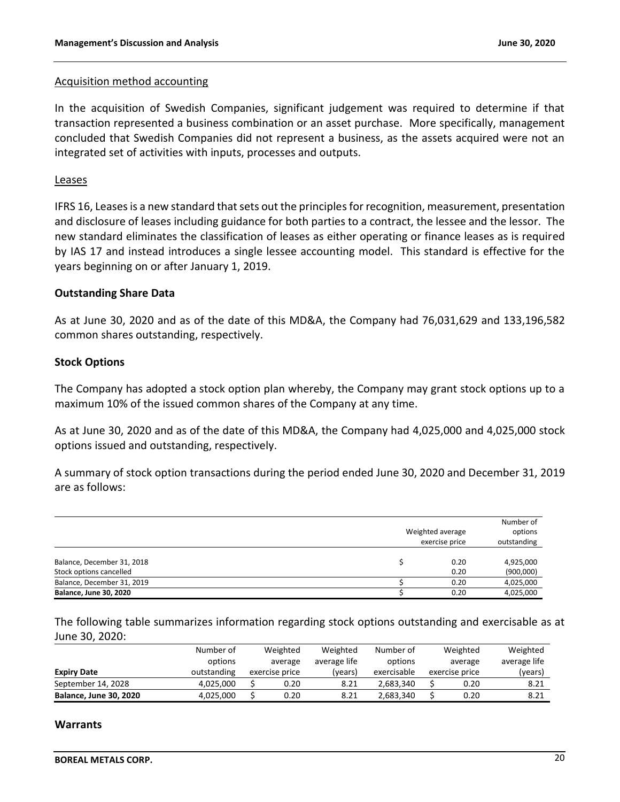#### Acquisition method accounting

In the acquisition of Swedish Companies, significant judgement was required to determine if that transaction represented a business combination or an asset purchase. More specifically, management concluded that Swedish Companies did not represent a business, as the assets acquired were not an integrated set of activities with inputs, processes and outputs.

#### Leases

IFRS 16, Leases is a new standard that sets out the principles for recognition, measurement, presentation and disclosure of leases including guidance for both parties to a contract, the lessee and the lessor. The new standard eliminates the classification of leases as either operating or finance leases as is required by IAS 17 and instead introduces a single lessee accounting model. This standard is effective for the years beginning on or after January 1, 2019.

#### **Outstanding Share Data**

As at June 30, 2020 and as of the date of this MD&A, the Company had 76,031,629 and 133,196,582 common shares outstanding, respectively.

#### **Stock Options**

The Company has adopted a stock option plan whereby, the Company may grant stock options up to a maximum 10% of the issued common shares of the Company at any time.

As at June 30, 2020 and as of the date of this MD&A, the Company had 4,025,000 and 4,025,000 stock options issued and outstanding, respectively.

A summary of stock option transactions during the period ended June 30, 2020 and December 31, 2019 are as follows:

|                                                       | Weighted average<br>exercise price | Number of<br>options<br>outstanding |
|-------------------------------------------------------|------------------------------------|-------------------------------------|
| Balance, December 31, 2018<br>Stock options cancelled | 0.20<br>0.20                       | 4,925,000<br>(900,000)              |
| Balance, December 31, 2019                            | 0.20                               | 4,025,000                           |
| <b>Balance, June 30, 2020</b>                         | 0.20                               | 4,025,000                           |

The following table summarizes information regarding stock options outstanding and exercisable as at June 30, 2020:

|                               | Number of   | Weighted<br>Weighted<br>Number of<br>average life<br>options<br>average |                |         |             | Weighted     |                | Weighted |  |
|-------------------------------|-------------|-------------------------------------------------------------------------|----------------|---------|-------------|--------------|----------------|----------|--|
|                               | options     |                                                                         |                |         | average     | average life |                |          |  |
| <b>Expiry Date</b>            | outstanding |                                                                         | exercise price | (years) | exercisable |              | exercise price | (years)  |  |
| September 14, 2028            | 4.025.000   |                                                                         | 0.20           | 8.21    | 2.683.340   |              | 0.20           | 8.21     |  |
| <b>Balance, June 30, 2020</b> | 4.025.000   |                                                                         | 0.20           | 8.21    | 2.683.340   |              | 0.20           | 8.21     |  |

#### **Warrants**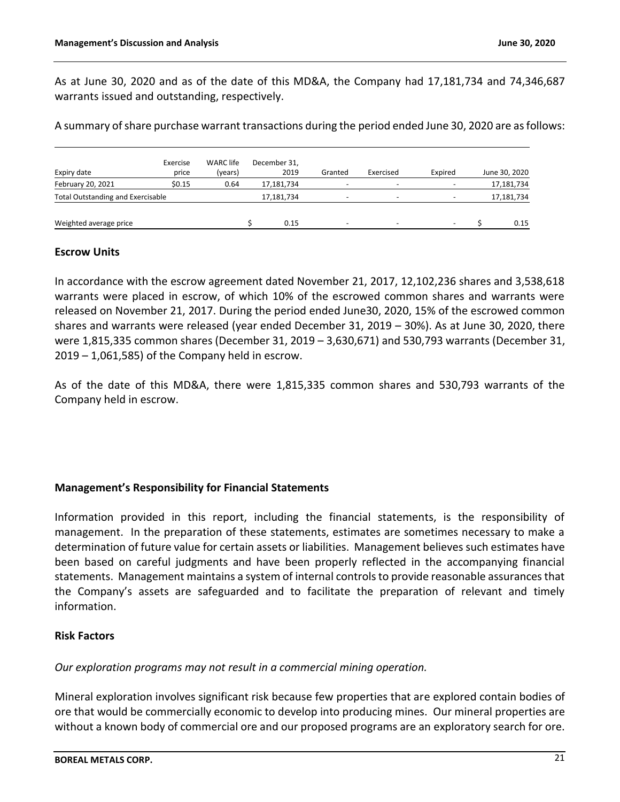As at June 30, 2020 and as of the date of this MD&A, the Company had 17,181,734 and 74,346,687 warrants issued and outstanding, respectively.

A summary of share purchase warrant transactions during the period ended June 30, 2020 are as follows:

| Expiry date                              | Exercise<br>price | <b>WARC</b> life<br>(years) | December 31,<br>2019 | Granted | Exercised                | Expired                  |            | June 30, 2020 |
|------------------------------------------|-------------------|-----------------------------|----------------------|---------|--------------------------|--------------------------|------------|---------------|
| February 20, 2021                        | \$0.15            | 0.64                        | 17,181,734           |         |                          | $\overline{\phantom{0}}$ |            | 17,181,734    |
| <b>Total Outstanding and Exercisable</b> |                   |                             | 17,181,734           | ۰       | -                        |                          | 17,181,734 |               |
| Weighted average price                   |                   |                             | 0.15                 | -       | $\overline{\phantom{0}}$ | ۰                        |            | 0.15          |

#### **Escrow Units**

In accordance with the escrow agreement dated November 21, 2017, 12,102,236 shares and 3,538,618 warrants were placed in escrow, of which 10% of the escrowed common shares and warrants were released on November 21, 2017. During the period ended June30, 2020, 15% of the escrowed common shares and warrants were released (year ended December 31, 2019 – 30%). As at June 30, 2020, there were 1,815,335 common shares (December 31, 2019 – 3,630,671) and 530,793 warrants (December 31, 2019 – 1,061,585) of the Company held in escrow.

As of the date of this MD&A, there were 1,815,335 common shares and 530,793 warrants of the Company held in escrow.

# **Management's Responsibility for Financial Statements**

Information provided in this report, including the financial statements, is the responsibility of management. In the preparation of these statements, estimates are sometimes necessary to make a determination of future value for certain assets or liabilities. Management believes such estimates have been based on careful judgments and have been properly reflected in the accompanying financial statements. Management maintains a system of internal controls to provide reasonable assurances that the Company's assets are safeguarded and to facilitate the preparation of relevant and timely information.

### **Risk Factors**

*Our exploration programs may not result in a commercial mining operation.*

Mineral exploration involves significant risk because few properties that are explored contain bodies of ore that would be commercially economic to develop into producing mines. Our mineral properties are without a known body of commercial ore and our proposed programs are an exploratory search for ore.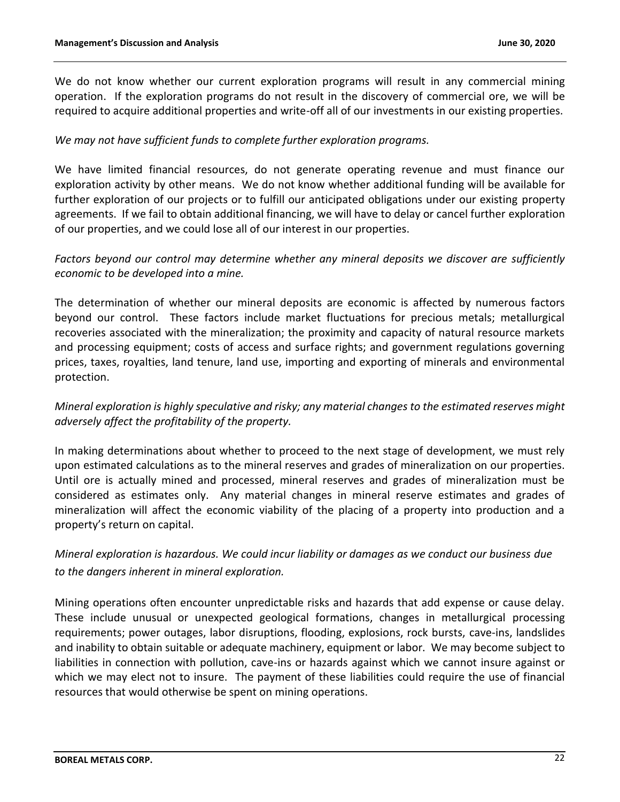We do not know whether our current exploration programs will result in any commercial mining operation. If the exploration programs do not result in the discovery of commercial ore, we will be required to acquire additional properties and write-off all of our investments in our existing properties.

### *We may not have sufficient funds to complete further exploration programs.*

We have limited financial resources, do not generate operating revenue and must finance our exploration activity by other means. We do not know whether additional funding will be available for further exploration of our projects or to fulfill our anticipated obligations under our existing property agreements. If we fail to obtain additional financing, we will have to delay or cancel further exploration of our properties, and we could lose all of our interest in our properties.

# *Factors beyond our control may determine whether any mineral deposits we discover are sufficiently economic to be developed into a mine.*

The determination of whether our mineral deposits are economic is affected by numerous factors beyond our control. These factors include market fluctuations for precious metals; metallurgical recoveries associated with the mineralization; the proximity and capacity of natural resource markets and processing equipment; costs of access and surface rights; and government regulations governing prices, taxes, royalties, land tenure, land use, importing and exporting of minerals and environmental protection.

# *Mineral exploration is highly speculative and risky; any material changes to the estimated reserves might adversely affect the profitability of the property.*

In making determinations about whether to proceed to the next stage of development, we must rely upon estimated calculations as to the mineral reserves and grades of mineralization on our properties. Until ore is actually mined and processed, mineral reserves and grades of mineralization must be considered as estimates only. Any material changes in mineral reserve estimates and grades of mineralization will affect the economic viability of the placing of a property into production and a property's return on capital.

# *Mineral exploration is hazardous. We could incur liability or damages as we conduct our business due to the dangers inherent in mineral exploration.*

Mining operations often encounter unpredictable risks and hazards that add expense or cause delay. These include unusual or unexpected geological formations, changes in metallurgical processing requirements; power outages, labor disruptions, flooding, explosions, rock bursts, cave-ins, landslides and inability to obtain suitable or adequate machinery, equipment or labor. We may become subject to liabilities in connection with pollution, cave-ins or hazards against which we cannot insure against or which we may elect not to insure. The payment of these liabilities could require the use of financial resources that would otherwise be spent on mining operations.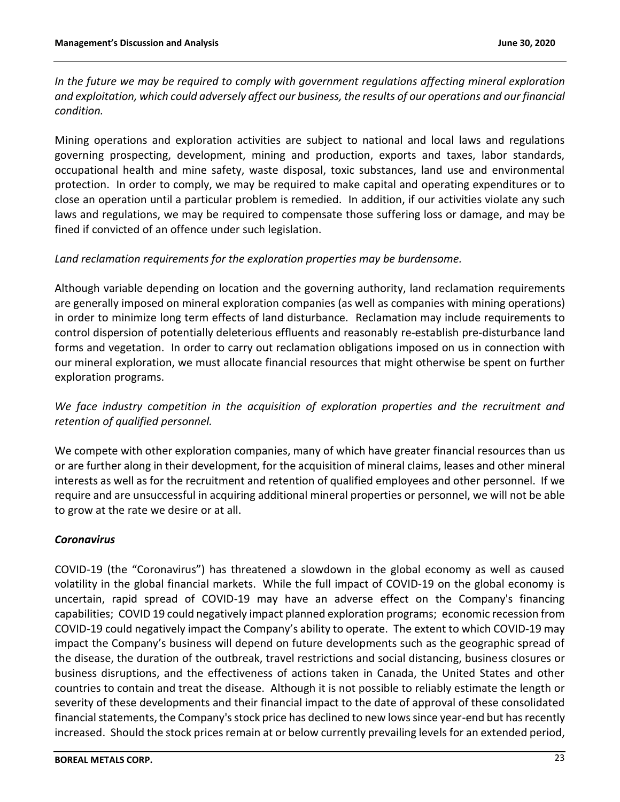*In the future we may be required to comply with government regulations affecting mineral exploration and exploitation, which could adversely affect our business, the results of our operations and our financial condition.*

Mining operations and exploration activities are subject to national and local laws and regulations governing prospecting, development, mining and production, exports and taxes, labor standards, occupational health and mine safety, waste disposal, toxic substances, land use and environmental protection. In order to comply, we may be required to make capital and operating expenditures or to close an operation until a particular problem is remedied. In addition, if our activities violate any such laws and regulations, we may be required to compensate those suffering loss or damage, and may be fined if convicted of an offence under such legislation.

# *Land reclamation requirements for the exploration properties may be burdensome.*

Although variable depending on location and the governing authority, land reclamation requirements are generally imposed on mineral exploration companies (as well as companies with mining operations) in order to minimize long term effects of land disturbance. Reclamation may include requirements to control dispersion of potentially deleterious effluents and reasonably re-establish pre-disturbance land forms and vegetation. In order to carry out reclamation obligations imposed on us in connection with our mineral exploration, we must allocate financial resources that might otherwise be spent on further exploration programs.

*We face industry competition in the acquisition of exploration properties and the recruitment and retention of qualified personnel.*

We compete with other exploration companies, many of which have greater financial resources than us or are further along in their development, for the acquisition of mineral claims, leases and other mineral interests as well as for the recruitment and retention of qualified employees and other personnel. If we require and are unsuccessful in acquiring additional mineral properties or personnel, we will not be able to grow at the rate we desire or at all.

#### *Coronavirus*

COVID-19 (the "Coronavirus") has threatened a slowdown in the global economy as well as caused volatility in the global financial markets. While the full impact of COVID-19 on the global economy is uncertain, rapid spread of COVID-19 may have an adverse effect on the Company's financing capabilities; COVID 19 could negatively impact planned exploration programs; economic recession from COVID-19 could negatively impact the Company's ability to operate. The extent to which COVID-19 may impact the Company's business will depend on future developments such as the geographic spread of the disease, the duration of the outbreak, travel restrictions and social distancing, business closures or business disruptions, and the effectiveness of actions taken in Canada, the United States and other countries to contain and treat the disease. Although it is not possible to reliably estimate the length or severity of these developments and their financial impact to the date of approval of these consolidated financial statements, the Company's stock price has declined to new lows since year-end but has recently increased. Should the stock prices remain at or below currently prevailing levels for an extended period,